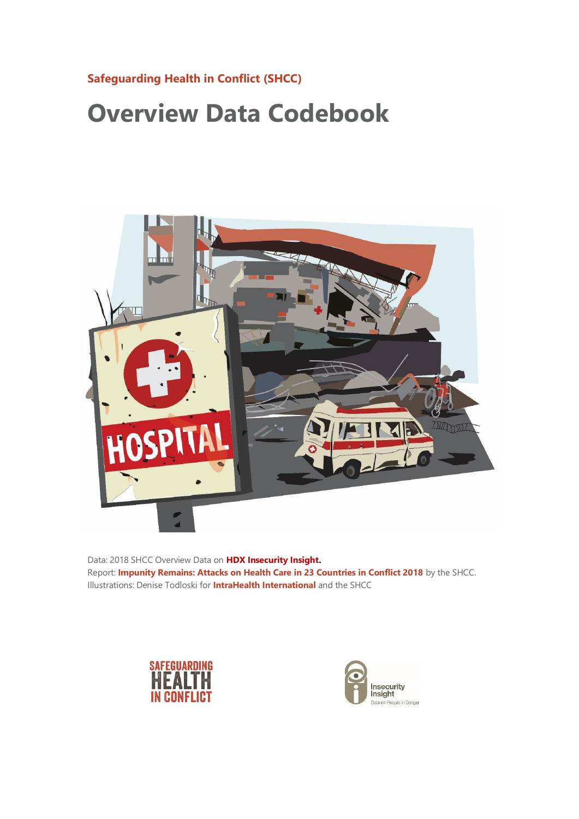## **[Safeguarding Health in Conflict \(SHCC\)](https://www.safeguardinghealth.org/)**

## **Overview Data Codebook**



Data: 2018 SHCC Overview Data on **[HDX Insecurity Insight.](https://data.humdata.org/dataset/shcchealthcare-dataset)** Report: **[Impunity Remains: Attacks on Health Care in 23 Countries in Conflict 2018](http://bit.ly/2Hem2vV)** by the SHCC. Illustrations: Denise Todloski for **[IntraHealth International](https://www.intrahealth.org/)** and the SHCC



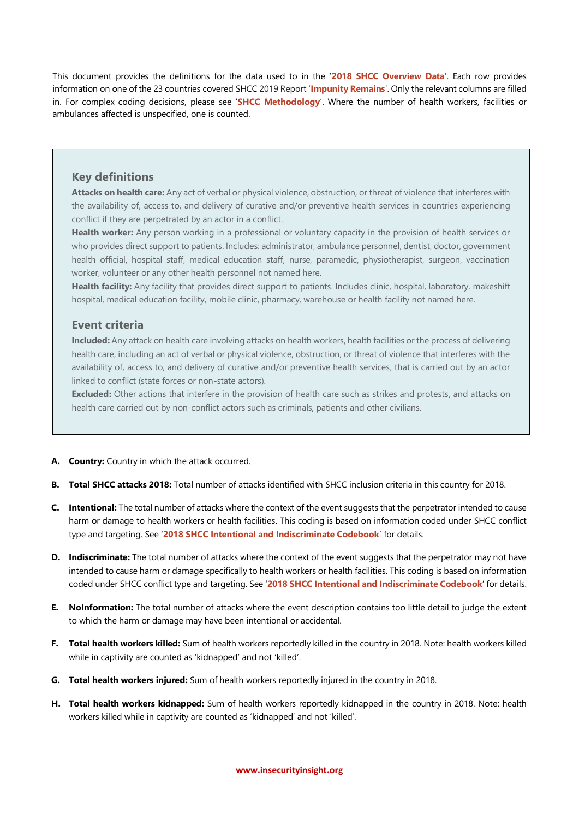This document provides the definitions for the data used to in the '**[2018 SHCC Overview Data](https://data.humdata.org/dataset/shcchealthcare-dataset)**'. Each row provides information on one of the 23 countries covered SHCC 2019 Report '**[Impunity Remains](http://bit.ly/2Hem2vV)**'. Only the relevant columns are filled in. For complex coding decisions, please see '**[SHCC Methodology](http://insecurityinsight.org/methodology-and-definitions#section_attacks_on_health_care)**'. Where the number of health workers, facilities or ambulances affected is unspecified, one is counted.

## **Key definitions**

**Attacks on health care:** Any act of verbal or physical violence, obstruction, or threat of violence that interferes with the availability of, access to, and delivery of curative and/or preventive health services in countries experiencing conflict if they are perpetrated by an actor in a conflict.

**Health worker:** Any person working in a professional or voluntary capacity in the provision of health services or who provides direct support to patients. Includes: administrator, ambulance personnel, dentist, doctor, government health official, hospital staff, medical education staff, nurse, paramedic, physiotherapist, surgeon, vaccination worker, volunteer or any other health personnel not named here.

**Health facility:** Any facility that provides direct support to patients. Includes clinic, hospital, laboratory, makeshift hospital, medical education facility, mobile clinic, pharmacy, warehouse or health facility not named here.

## **Event criteria**

**Included:** Any attack on health care involving attacks on health workers, health facilities or the process of delivering health care, including an act of verbal or physical violence, obstruction, or threat of violence that interferes with the availability of, access to, and delivery of curative and/or preventive health services, that is carried out by an actor linked to conflict (state forces or non-state actors).

**Excluded:** Other actions that interfere in the provision of health care such as strikes and protests, and attacks on health care carried out by non-conflict actors such as criminals, patients and other civilians.

- **A. Country:** Country in which the attack occurred.
- **B. Total SHCC attacks 2018:** Total number of attacks identified with SHCC inclusion criteria in this country for 2018.
- **C. Intentional:** The total number of attacks where the context of the event suggests that the perpetrator intended to cause harm or damage to health workers or health facilities. This coding is based on information coded under SHCC conflict type and targeting. See '**[2018 SHCC Intentional and Indiscriminate Codebook](http://insecurityinsight.org/methodology-and-definitions#section_attacks_on_health_care)**' for details.
- **D. Indiscriminate:** The total number of attacks where the context of the event suggests that the perpetrator may not have intended to cause harm or damage specifically to health workers or health facilities. This coding is based on information coded under SHCC conflict type and targeting. See '**[2018 SHCC Intentional and Indiscriminate Codebook](http://insecurityinsight.org/methodology-and-definitions#section_attacks_on_health_care)**' for details.
- **E. NoInformation:** The total number of attacks where the event description contains too little detail to judge the extent to which the harm or damage may have been intentional or accidental.
- **F. Total health workers killed:** Sum of health workers reportedly killed in the country in 2018. Note: health workers killed while in captivity are counted as 'kidnapped' and not 'killed'.
- **G. Total health workers injured:** Sum of health workers reportedly injured in the country in 2018.
- **H. Total health workers kidnapped:** Sum of health workers reportedly kidnapped in the country in 2018. Note: health workers killed while in captivity are counted as 'kidnapped' and not 'killed'.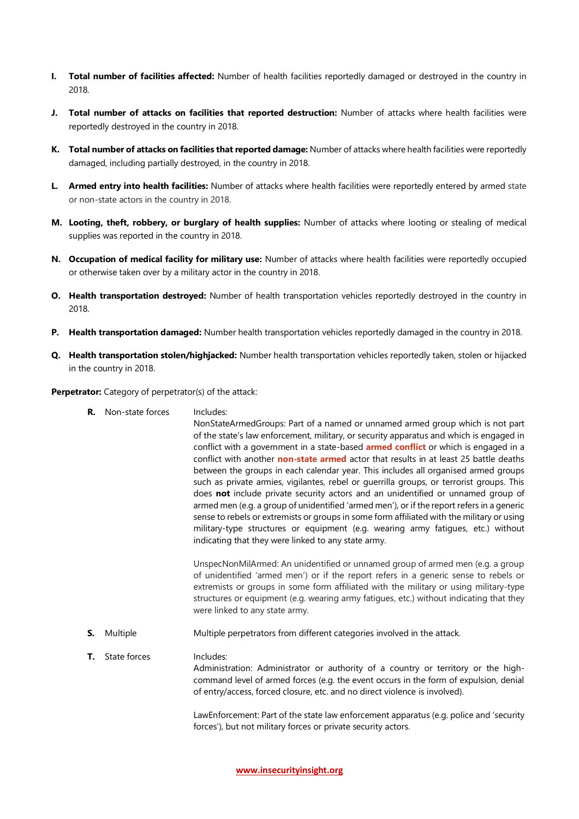- **I. Total number of facilities affected:** Number of health facilities reportedly damaged or destroyed in the country in 2018.
- **J. Total number of attacks on facilities that reported destruction:** Number of attacks where health facilities were reportedly destroyed in the country in 2018.
- **K. Total number of attacks on facilities that reported damage:** Number of attacks where health facilities were reportedly damaged, including partially destroyed, in the country in 2018.
- **L. Armed entry into health facilities:** Number of attacks where health facilities were reportedly entered by armed state or non-state actors in the country in 2018.
- **M. Looting, theft, robbery, or burglary of health supplies:** Number of attacks where looting or stealing of medical supplies was reported in the country in 2018.
- **N. Occupation of medical facility for military use:** Number of attacks where health facilities were reportedly occupied or otherwise taken over by a military actor in the country in 2018.
- **O. Health transportation destroyed:** Number of health transportation vehicles reportedly destroyed in the country in 2018.
- **P. Health transportation damaged:** Number health transportation vehicles reportedly damaged in the country in 2018.
- **Q. Health transportation stolen/highjacked:** Number health transportation vehicles reportedly taken, stolen or hijacked in the country in 2018.

**Perpetrator:** Category of perpetrator(s) of the attack:

**R.** Non-state forces Includes:

NonStateArmedGroups: Part of a named or unnamed armed group which is not part of the state's law enforcement, military, or security apparatus and which is engaged in conflict with a government in a state-based **[armed conflict](https://www.pcr.uu.se/research/ucdp/definitions/#Active)** or which is engaged in a conflict with another **[non-state armed](https://www.pcr.uu.se/research/ucdp/definitions/#Active)** actor that results in at least 25 battle deaths between the groups in each calendar year. This includes all organised armed groups such as private armies, vigilantes, rebel or guerrilla groups, or terrorist groups. This does **not** include private security actors and an unidentified or unnamed group of armed men (e.g. a group of unidentified 'armed men'), or if the report refers in a generic sense to rebels or extremists or groups in some form affiliated with the military or using military-type structures or equipment (e.g. wearing army fatigues, etc.) without indicating that they were linked to any state army.

UnspecNonMilArmed: An unidentified or unnamed group of armed men (e.g. a group of unidentified 'armed men') or if the report refers in a generic sense to rebels or extremists or groups in some form affiliated with the military or using military-type structures or equipment (e.g. wearing army fatigues, etc.) without indicating that they were linked to any state army.

- **S.** Multiple Multiple perpetrators from different categories involved in the attack.
- **T.** State forces Includes: Administration: Administrator or authority of a country or territory or the highcommand level of armed forces (e.g. the event occurs in the form of expulsion, denial of entry/access, forced closure, etc. and no direct violence is involved).

LawEnforcement: Part of the state law enforcement apparatus (e.g. police and 'security forces'), but not military forces or private security actors.